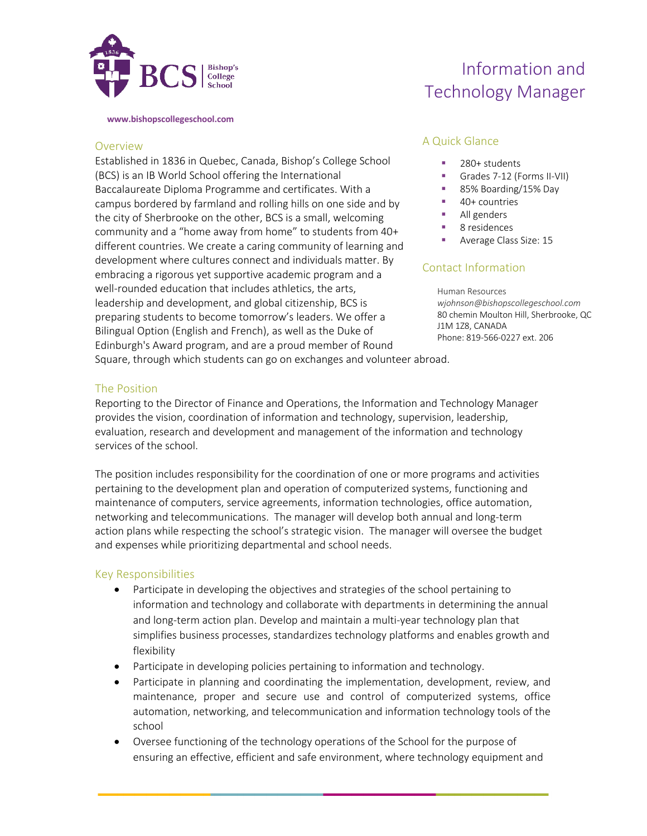

**www.bishopscollegeschool.com**

## Overview

Established in 1836 in Quebec, Canada, Bishop's College School (BCS) is an IB World School offering the International Baccalaureate Diploma Programme and certificates. With a campus bordered by farmland and rolling hills on one side and by the city of Sherbrooke on the other, BCS is a small, welcoming community and a "home away from home" to students from 40+ different countries. We create a caring community of learning and development where cultures connect and individuals matter. By embracing a rigorous yet supportive academic program and a well-rounded education that includes athletics, the arts, leadership and development, and global citizenship, BCS is preparing students to become tomorrow's leaders. We offer a Bilingual Option (English and French), as well as the Duke of Edinburgh's Award program, and are a proud member of Round Square, through which students can go on exchanges and volunteer abroad.

# Information and Technology Manager

## A Quick Glance

- 280+ students
- Grades 7-12 (Forms II-VII)
- 85% Boarding/15% Day
- 40+ countries
- § All genders
- 8 residences
- § Average Class Size: 15

## Contact Information

Human Resources *wjohnson@bishopscollegeschool.com*  80 chemin Moulton Hill, Sherbrooke, QC J1M 1Z8, CANADA Phone: 819-566-0227 ext. 206

## The Position

Reporting to the Director of Finance and Operations, the Information and Technology Manager provides the vision, coordination of information and technology, supervision, leadership, evaluation, research and development and management of the information and technology services of the school.

The position includes responsibility for the coordination of one or more programs and activities pertaining to the development plan and operation of computerized systems, functioning and maintenance of computers, service agreements, information technologies, office automation, networking and telecommunications. The manager will develop both annual and long-term action plans while respecting the school's strategic vision. The manager will oversee the budget and expenses while prioritizing departmental and school needs.

## Key Responsibilities

- Participate in developing the objectives and strategies of the school pertaining to information and technology and collaborate with departments in determining the annual and long-term action plan. Develop and maintain a multi-year technology plan that simplifies business processes, standardizes technology platforms and enables growth and flexibility
- Participate in developing policies pertaining to information and technology.
- Participate in planning and coordinating the implementation, development, review, and maintenance, proper and secure use and control of computerized systems, office automation, networking, and telecommunication and information technology tools of the school
- Oversee functioning of the technology operations of the School for the purpose of ensuring an effective, efficient and safe environment, where technology equipment and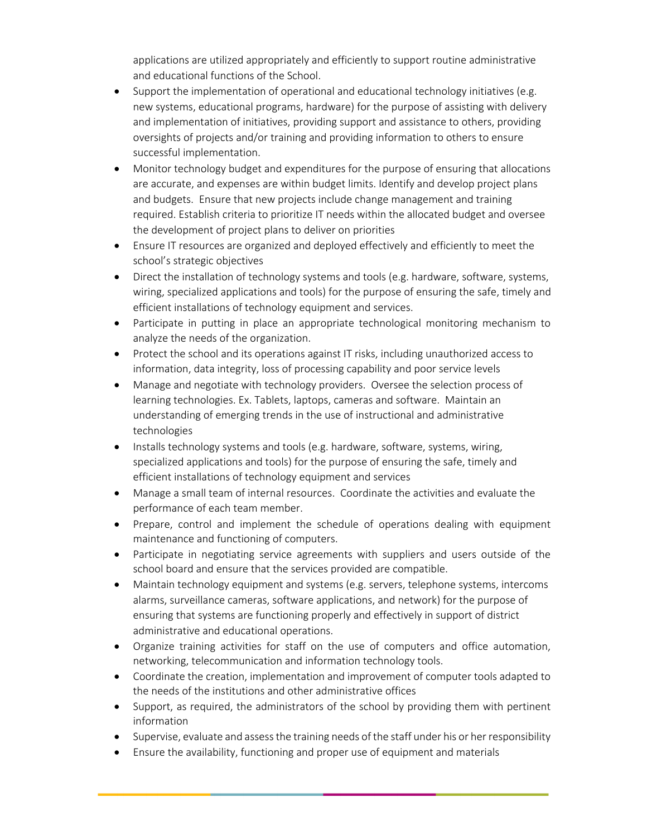applications are utilized appropriately and efficiently to support routine administrative and educational functions of the School.

- Support the implementation of operational and educational technology initiatives (e.g. new systems, educational programs, hardware) for the purpose of assisting with delivery and implementation of initiatives, providing support and assistance to others, providing oversights of projects and/or training and providing information to others to ensure successful implementation.
- Monitor technology budget and expenditures for the purpose of ensuring that allocations are accurate, and expenses are within budget limits. Identify and develop project plans and budgets. Ensure that new projects include change management and training required. Establish criteria to prioritize IT needs within the allocated budget and oversee the development of project plans to deliver on priorities
- Ensure IT resources are organized and deployed effectively and efficiently to meet the school's strategic objectives
- Direct the installation of technology systems and tools (e.g. hardware, software, systems, wiring, specialized applications and tools) for the purpose of ensuring the safe, timely and efficient installations of technology equipment and services.
- Participate in putting in place an appropriate technological monitoring mechanism to analyze the needs of the organization.
- Protect the school and its operations against IT risks, including unauthorized access to information, data integrity, loss of processing capability and poor service levels
- Manage and negotiate with technology providers. Oversee the selection process of learning technologies. Ex. Tablets, laptops, cameras and software. Maintain an understanding of emerging trends in the use of instructional and administrative technologies
- Installs technology systems and tools (e.g. hardware, software, systems, wiring, specialized applications and tools) for the purpose of ensuring the safe, timely and efficient installations of technology equipment and services
- Manage a small team of internal resources. Coordinate the activities and evaluate the performance of each team member.
- Prepare, control and implement the schedule of operations dealing with equipment maintenance and functioning of computers.
- Participate in negotiating service agreements with suppliers and users outside of the school board and ensure that the services provided are compatible.
- Maintain technology equipment and systems (e.g. servers, telephone systems, intercoms alarms, surveillance cameras, software applications, and network) for the purpose of ensuring that systems are functioning properly and effectively in support of district administrative and educational operations.
- Organize training activities for staff on the use of computers and office automation, networking, telecommunication and information technology tools.
- Coordinate the creation, implementation and improvement of computer tools adapted to the needs of the institutions and other administrative offices
- Support, as required, the administrators of the school by providing them with pertinent information
- Supervise, evaluate and assess the training needs of the staff under his or her responsibility
- Ensure the availability, functioning and proper use of equipment and materials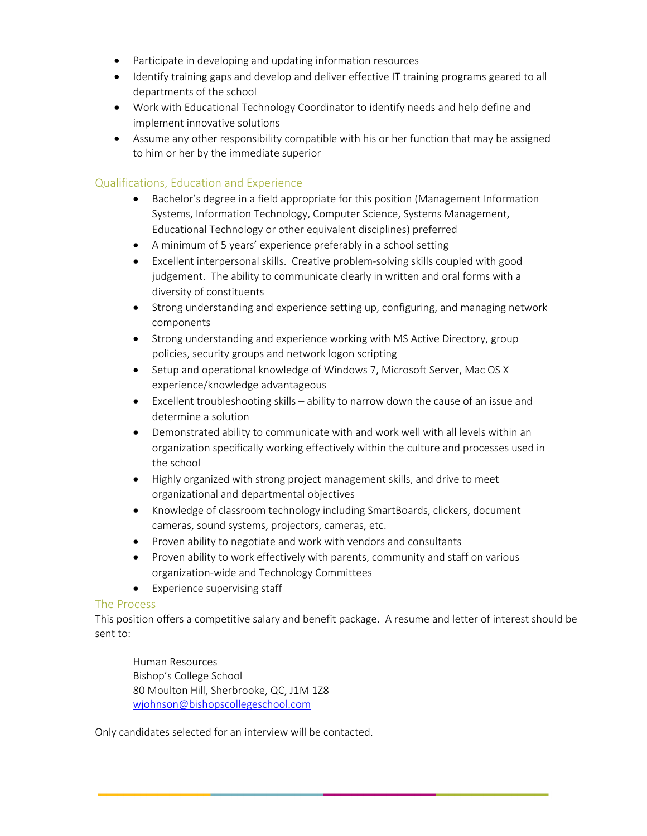- Participate in developing and updating information resources
- Identify training gaps and develop and deliver effective IT training programs geared to all departments of the school
- Work with Educational Technology Coordinator to identify needs and help define and implement innovative solutions
- Assume any other responsibility compatible with his or her function that may be assigned to him or her by the immediate superior

# Qualifications, Education and Experience

- Bachelor's degree in a field appropriate for this position (Management Information Systems, Information Technology, Computer Science, Systems Management, Educational Technology or other equivalent disciplines) preferred
- A minimum of 5 years' experience preferably in a school setting
- Excellent interpersonal skills. Creative problem-solving skills coupled with good judgement. The ability to communicate clearly in written and oral forms with a diversity of constituents
- Strong understanding and experience setting up, configuring, and managing network components
- Strong understanding and experience working with MS Active Directory, group policies, security groups and network logon scripting
- Setup and operational knowledge of Windows 7, Microsoft Server, Mac OS X experience/knowledge advantageous
- Excellent troubleshooting skills ability to narrow down the cause of an issue and determine a solution
- Demonstrated ability to communicate with and work well with all levels within an organization specifically working effectively within the culture and processes used in the school
- Highly organized with strong project management skills, and drive to meet organizational and departmental objectives
- Knowledge of classroom technology including SmartBoards, clickers, document cameras, sound systems, projectors, cameras, etc.
- Proven ability to negotiate and work with vendors and consultants
- Proven ability to work effectively with parents, community and staff on various organization-wide and Technology Committees
- Experience supervising staff

## The Process

This position offers a competitive salary and benefit package. A resume and letter of interest should be sent to:

Human Resources Bishop's College School 80 Moulton Hill, Sherbrooke, QC, J1M 1Z8 wjohnson@bishopscollegeschool.com

Only candidates selected for an interview will be contacted.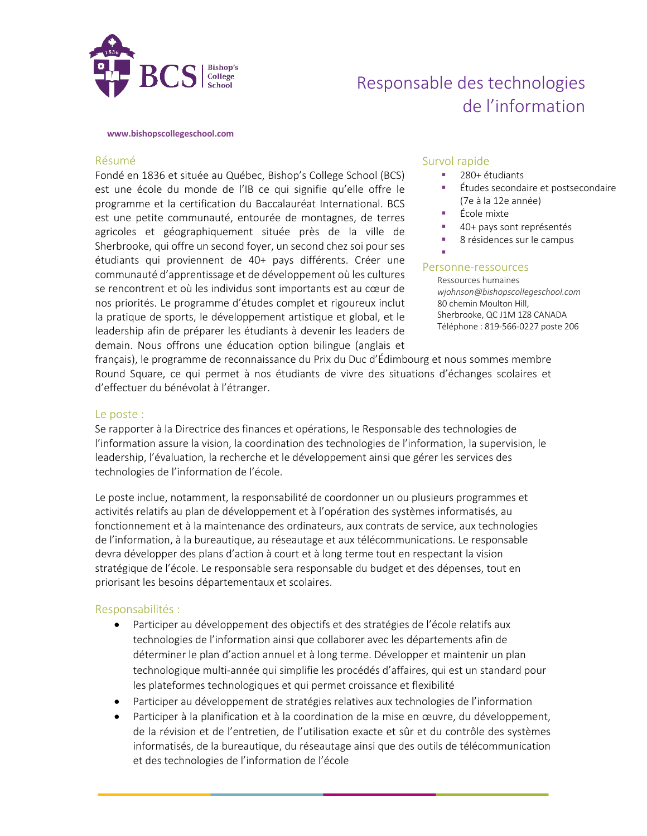

# Responsable des technologies de l'information

#### **www.bishopscollegeschool.com**

### Résumé

Fondé en 1836 et située au Québec, Bishop's College School (BCS) est une école du monde de l'IB ce qui signifie qu'elle offre le programme et la certification du Baccalauréat International. BCS est une petite communauté, entourée de montagnes, de terres agricoles et géographiquement située près de la ville de Sherbrooke, qui offre un second foyer, un second chez soi pour ses étudiants qui proviennent de 40+ pays différents. Créer une communauté d'apprentissage et de développement où les cultures se rencontrent et où les individus sont importants est au cœur de nos priorités. Le programme d'études complet et rigoureux inclut la pratique de sports, le développement artistique et global, et le leadership afin de préparer les étudiants à devenir les leaders de demain. Nous offrons une éducation option bilingue (anglais et

## Survol rapide

- 280+ étudiants
- § Études secondaire et postsecondaire (7e à la 12e année)
- École mixte
- § 40+ pays sont représentés
- § 8 résidences sur le campus
- §

## Personne-ressources

Ressources humaines *wjohnson@bishopscollegeschool.com*  80 chemin Moulton Hill, Sherbrooke, QC J1M 1Z8 CANADA Téléphone : 819-566-0227 poste 206

français), le programme de reconnaissance du Prix du Duc d'Édimbourg et nous sommes membre Round Square, ce qui permet à nos étudiants de vivre des situations d'échanges scolaires et d'effectuer du bénévolat à l'étranger.

## Le poste :

Se rapporter à la Directrice des finances et opérations, le Responsable des technologies de l'information assure la vision, la coordination des technologies de l'information, la supervision, le leadership, l'évaluation, la recherche et le développement ainsi que gérer les services des technologies de l'information de l'école.

Le poste inclue, notamment, la responsabilité de coordonner un ou plusieurs programmes et activités relatifs au plan de développement et à l'opération des systèmes informatisés, au fonctionnement et à la maintenance des ordinateurs, aux contrats de service, aux technologies de l'information, à la bureautique, au réseautage et aux télécommunications. Le responsable devra développer des plans d'action à court et à long terme tout en respectant la vision stratégique de l'école. Le responsable sera responsable du budget et des dépenses, tout en priorisant les besoins départementaux et scolaires.

## Responsabilités :

- Participer au développement des objectifs et des stratégies de l'école relatifs aux technologies de l'information ainsi que collaborer avec les départements afin de déterminer le plan d'action annuel et à long terme. Développer et maintenir un plan technologique multi-année qui simplifie les procédés d'affaires, qui est un standard pour les plateformes technologiques et qui permet croissance et flexibilité
- Participer au développement de stratégies relatives aux technologies de l'information
- Participer à la planification et à la coordination de la mise en œuvre, du développement, de la révision et de l'entretien, de l'utilisation exacte et sûr et du contrôle des systèmes informatisés, de la bureautique, du réseautage ainsi que des outils de télécommunication et des technologies de l'information de l'école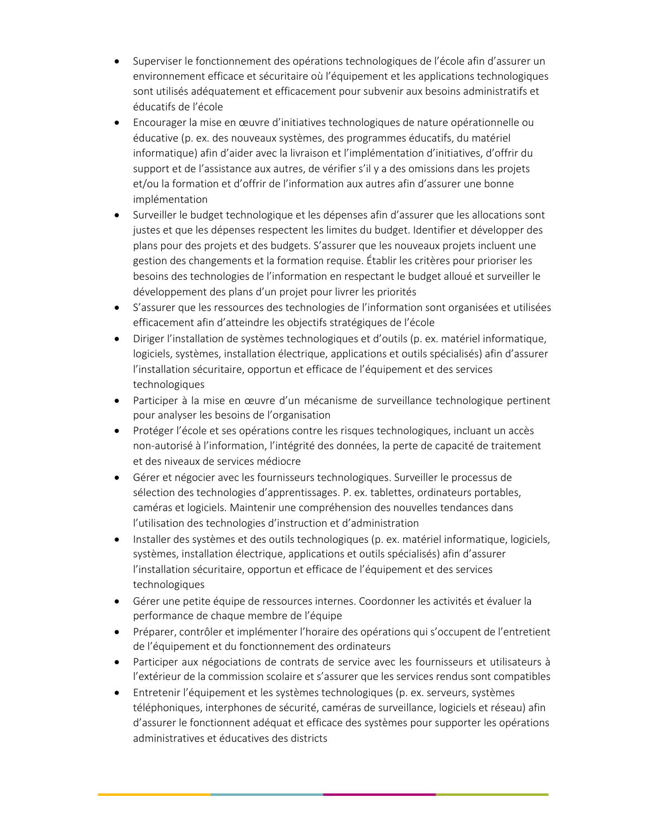- Superviser le fonctionnement des opérations technologiques de l'école afin d'assurer un environnement efficace et sécuritaire où l'équipement et les applications technologiques sont utilisés adéquatement et efficacement pour subvenir aux besoins administratifs et éducatifs de l'école
- Encourager la mise en œuvre d'initiatives technologiques de nature opérationnelle ou éducative (p. ex. des nouveaux systèmes, des programmes éducatifs, du matériel informatique) afin d'aider avec la livraison et l'implémentation d'initiatives, d'offrir du support et de l'assistance aux autres, de vérifier s'il y a des omissions dans les projets et/ou la formation et d'offrir de l'information aux autres afin d'assurer une bonne implémentation
- Surveiller le budget technologique et les dépenses afin d'assurer que les allocations sont justes et que les dépenses respectent les limites du budget. Identifier et développer des plans pour des projets et des budgets. S'assurer que les nouveaux projets incluent une gestion des changements et la formation requise. Établir les critères pour prioriser les besoins des technologies de l'information en respectant le budget alloué et surveiller le développement des plans d'un projet pour livrer les priorités
- S'assurer que les ressources des technologies de l'information sont organisées et utilisées efficacement afin d'atteindre les objectifs stratégiques de l'école
- Diriger l'installation de systèmes technologiques et d'outils (p. ex. matériel informatique, logiciels, systèmes, installation électrique, applications et outils spécialisés) afin d'assurer l'installation sécuritaire, opportun et efficace de l'équipement et des services technologiques
- Participer à la mise en œuvre d'un mécanisme de surveillance technologique pertinent pour analyser les besoins de l'organisation
- Protéger l'école et ses opérations contre les risques technologiques, incluant un accès non-autorisé à l'information, l'intégrité des données, la perte de capacité de traitement et des niveaux de services médiocre
- Gérer et négocier avec les fournisseurs technologiques. Surveiller le processus de sélection des technologies d'apprentissages. P. ex. tablettes, ordinateurs portables, caméras et logiciels. Maintenir une compréhension des nouvelles tendances dans l'utilisation des technologies d'instruction et d'administration
- Installer des systèmes et des outils technologiques (p. ex. matériel informatique, logiciels, systèmes, installation électrique, applications et outils spécialisés) afin d'assurer l'installation sécuritaire, opportun et efficace de l'équipement et des services technologiques
- Gérer une petite équipe de ressources internes. Coordonner les activités et évaluer la performance de chaque membre de l'équipe
- Préparer, contrôler et implémenter l'horaire des opérations qui s'occupent de l'entretient de l'équipement et du fonctionnement des ordinateurs
- Participer aux négociations de contrats de service avec les fournisseurs et utilisateurs à l'extérieur de la commission scolaire et s'assurer que les services rendus sont compatibles
- Entretenir l'équipement et les systèmes technologiques (p. ex. serveurs, systèmes téléphoniques, interphones de sécurité, caméras de surveillance, logiciels et réseau) afin d'assurer le fonctionnent adéquat et efficace des systèmes pour supporter les opérations administratives et éducatives des districts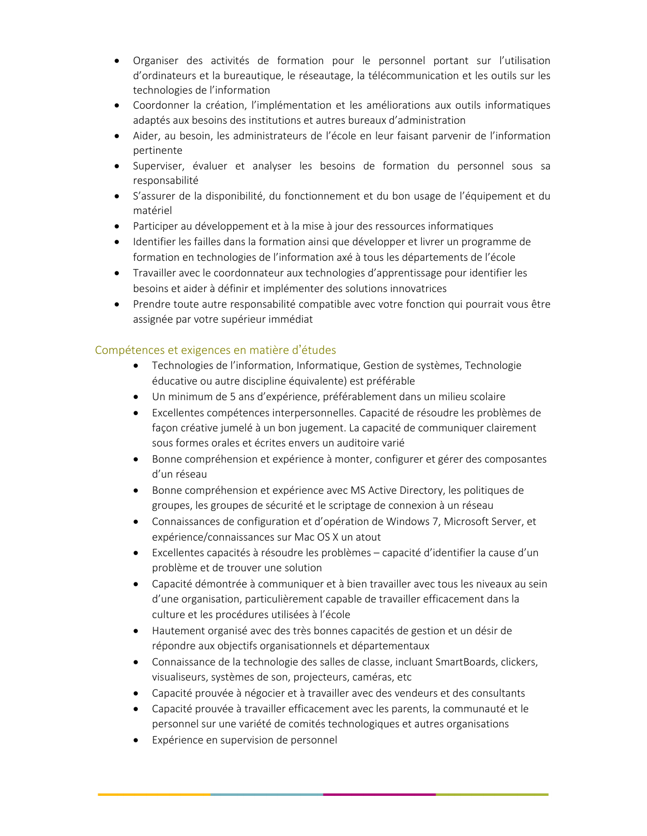- Organiser des activités de formation pour le personnel portant sur l'utilisation d'ordinateurs et la bureautique, le réseautage, la télécommunication et les outils sur les technologies de l'information
- Coordonner la création, l'implémentation et les améliorations aux outils informatiques adaptés aux besoins des institutions et autres bureaux d'administration
- Aider, au besoin, les administrateurs de l'école en leur faisant parvenir de l'information pertinente
- Superviser, évaluer et analyser les besoins de formation du personnel sous sa responsabilité
- S'assurer de la disponibilité, du fonctionnement et du bon usage de l'équipement et du matériel
- Participer au développement et à la mise à jour des ressources informatiques
- Identifier les failles dans la formation ainsi que développer et livrer un programme de formation en technologies de l'information axé à tous les départements de l'école
- Travailler avec le coordonnateur aux technologies d'apprentissage pour identifier les besoins et aider à définir et implémenter des solutions innovatrices
- Prendre toute autre responsabilité compatible avec votre fonction qui pourrait vous être assignée par votre supérieur immédiat

# Compétences et exigences en matière d'études

- Technologies de l'information, Informatique, Gestion de systèmes, Technologie éducative ou autre discipline équivalente) est préférable
- Un minimum de 5 ans d'expérience, préférablement dans un milieu scolaire
- Excellentes compétences interpersonnelles. Capacité de résoudre les problèmes de façon créative jumelé à un bon jugement. La capacité de communiquer clairement sous formes orales et écrites envers un auditoire varié
- Bonne compréhension et expérience à monter, configurer et gérer des composantes d'un réseau
- Bonne compréhension et expérience avec MS Active Directory, les politiques de groupes, les groupes de sécurité et le scriptage de connexion à un réseau
- Connaissances de configuration et d'opération de Windows 7, Microsoft Server, et expérience/connaissances sur Mac OS X un atout
- Excellentes capacités à résoudre les problèmes capacité d'identifier la cause d'un problème et de trouver une solution
- Capacité démontrée à communiquer et à bien travailler avec tous les niveaux au sein d'une organisation, particulièrement capable de travailler efficacement dans la culture et les procédures utilisées à l'école
- Hautement organisé avec des très bonnes capacités de gestion et un désir de répondre aux objectifs organisationnels et départementaux
- Connaissance de la technologie des salles de classe, incluant SmartBoards, clickers, visualiseurs, systèmes de son, projecteurs, caméras, etc
- Capacité prouvée à négocier et à travailler avec des vendeurs et des consultants
- Capacité prouvée à travailler efficacement avec les parents, la communauté et le personnel sur une variété de comités technologiques et autres organisations
- Expérience en supervision de personnel